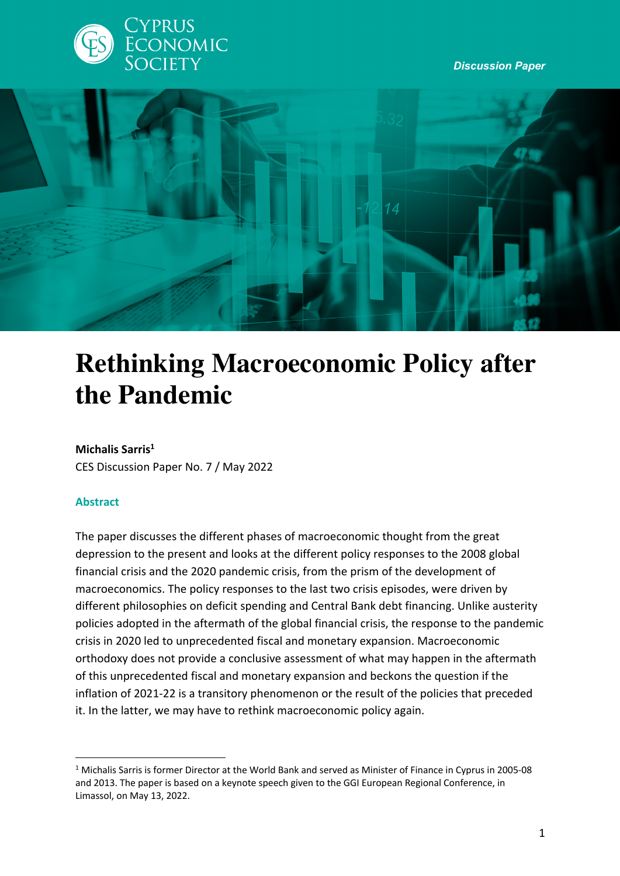

*Discussion Paper*



# **Rethinking Macroeconomic Policy after the Pandemic**

#### **Michalis Sarris1**

CES Discussion Paper No. 7 / May 2022

#### **Abstract**

The paper discusses the different phases of macroeconomic thought from the great depression to the present and looks at the different policy responses to the 2008 global financial crisis and the 2020 pandemic crisis, from the prism of the development of macroeconomics. The policy responses to the last two crisis episodes, were driven by different philosophies on deficit spending and Central Bank debt financing. Unlike austerity policies adopted in the aftermath of the global financial crisis, the response to the pandemic crisis in 2020 led to unprecedented fiscal and monetary expansion. Macroeconomic orthodoxy does not provide a conclusive assessment of what may happen in the aftermath of this unprecedented fiscal and monetary expansion and beckons the question if the inflation of 2021-22 is a transitory phenomenon or the result of the policies that preceded it. In the latter, we may have to rethink macroeconomic policy again.

<sup>1</sup> Michalis Sarris is former Director at the World Bank and served as Minister of Finance in Cyprus in 2005-08 and 2013. The paper is based on a keynote speech given to the GGI European Regional Conference, in Limassol, on May 13, 2022.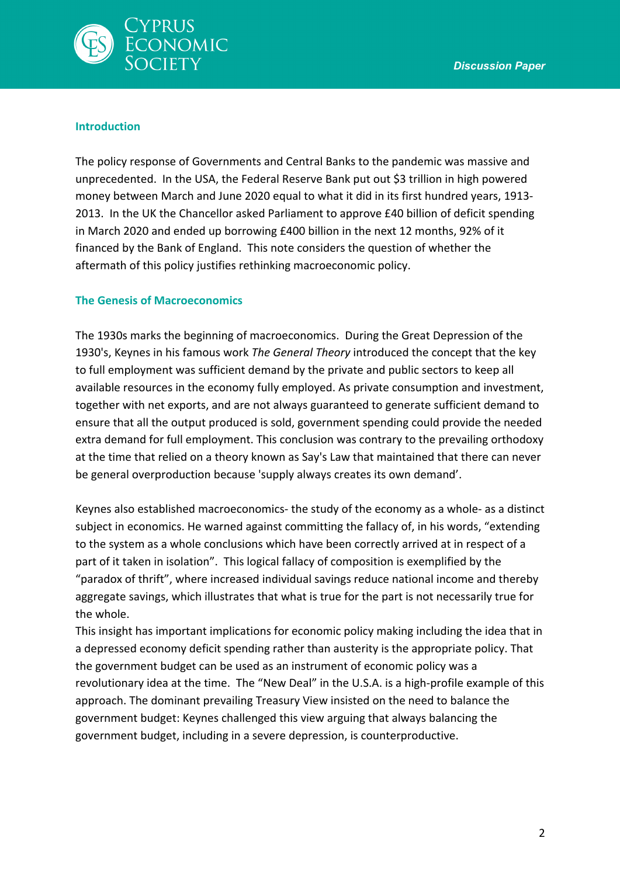

#### **Introduction**

The policy response of Governments and Central Banks to the pandemic was massive and unprecedented. In the USA, the Federal Reserve Bank put out \$3 trillion in high powered money between March and June 2020 equal to what it did in its first hundred years, 1913- 2013. In the UK the Chancellor asked Parliament to approve £40 billion of deficit spending in March 2020 and ended up borrowing £400 billion in the next 12 months, 92% of it financed by the Bank of England. This note considers the question of whether the aftermath of this policy justifies rethinking macroeconomic policy.

## **The Genesis of Macroeconomics**

The 1930s marks the beginning of macroeconomics. During the Great Depression of the 1930's, Keynes in his famous work *The General Theory* introduced the concept that the key to full employment was sufficient demand by the private and public sectors to keep all available resources in the economy fully employed. As private consumption and investment, together with net exports, and are not always guaranteed to generate sufficient demand to ensure that all the output produced is sold, government spending could provide the needed extra demand for full employment. This conclusion was contrary to the prevailing orthodoxy at the time that relied on a theory known as Say's Law that maintained that there can never be general overproduction because 'supply always creates its own demand'.

Keynes also established macroeconomics- the study of the economy as a whole- as a distinct subject in economics. He warned against committing the fallacy of, in his words, "extending to the system as a whole conclusions which have been correctly arrived at in respect of a part of it taken in isolation". This logical fallacy of composition is exemplified by the "paradox of thrift", where increased individual savings reduce national income and thereby aggregate savings, which illustrates that what is true for the part is not necessarily true for the whole.

This insight has important implications for economic policy making including the idea that in a depressed economy deficit spending rather than austerity is the appropriate policy. That the government budget can be used as an instrument of economic policy was a revolutionary idea at the time. The "New Deal" in the U.S.A. is a high-profile example of this approach. The dominant prevailing Treasury View insisted on the need to balance the government budget: Keynes challenged this view arguing that always balancing the government budget, including in a severe depression, is counterproductive.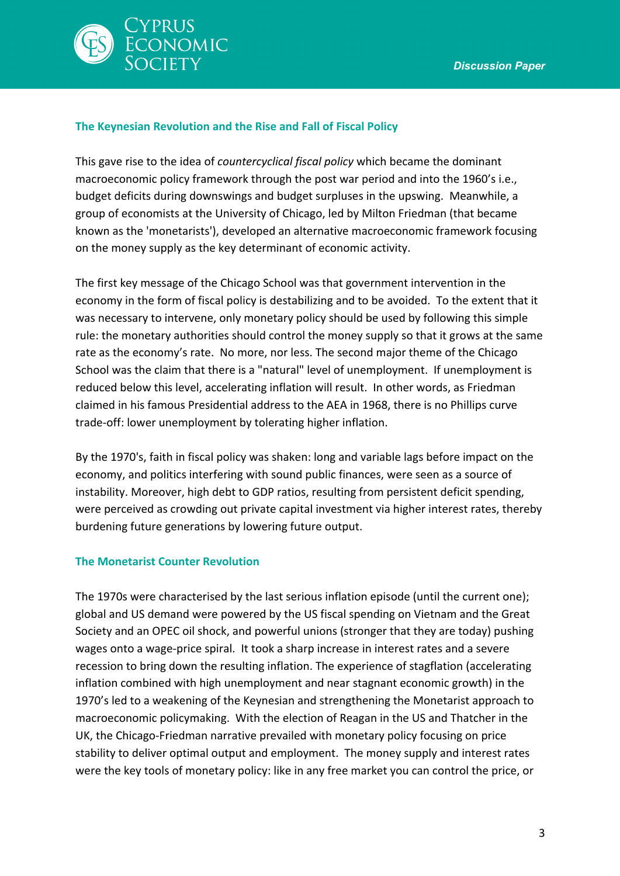

### **The Keynesian Revolution and the Rise and Fall of Fiscal Policy**

This gave rise to the idea of *countercyclical fiscal policy* which became the dominant macroeconomic policy framework through the post war period and into the 1960's i.e., budget deficits during downswings and budget surpluses in the upswing. Meanwhile, a group of economists at the University of Chicago, led by Milton Friedman (that became known as the 'monetarists'), developed an alternative macroeconomic framework focusing on the money supply as the key determinant of economic activity.

The first key message of the Chicago School was that government intervention in the economy in the form of fiscal policy is destabilizing and to be avoided. To the extent that it was necessary to intervene, only monetary policy should be used by following this simple rule: the monetary authorities should control the money supply so that it grows at the same rate as the economy's rate. No more, nor less. The second major theme of the Chicago School was the claim that there is a "natural" level of unemployment. If unemployment is reduced below this level, accelerating inflation will result. In other words, as Friedman claimed in his famous Presidential address to the AEA in 1968, there is no Phillips curve trade-off: lower unemployment by tolerating higher inflation.

By the 1970's, faith in fiscal policy was shaken: long and variable lags before impact on the economy, and politics interfering with sound public finances, were seen as a source of instability. Moreover, high debt to GDP ratios, resulting from persistent deficit spending, were perceived as crowding out private capital investment via higher interest rates, thereby burdening future generations by lowering future output.

#### **The Monetarist Counter Revolution**

The 1970s were characterised by the last serious inflation episode (until the current one); global and US demand were powered by the US fiscal spending on Vietnam and the Great Society and an OPEC oil shock, and powerful unions (stronger that they are today) pushing wages onto a wage-price spiral. It took a sharp increase in interest rates and a severe recession to bring down the resulting inflation. The experience of stagflation (accelerating inflation combined with high unemployment and near stagnant economic growth) in the 1970's led to a weakening of the Keynesian and strengthening the Monetarist approach to macroeconomic policymaking. With the election of Reagan in the US and Thatcher in the UK, the Chicago-Friedman narrative prevailed with monetary policy focusing on price stability to deliver optimal output and employment. The money supply and interest rates were the key tools of monetary policy: like in any free market you can control the price, or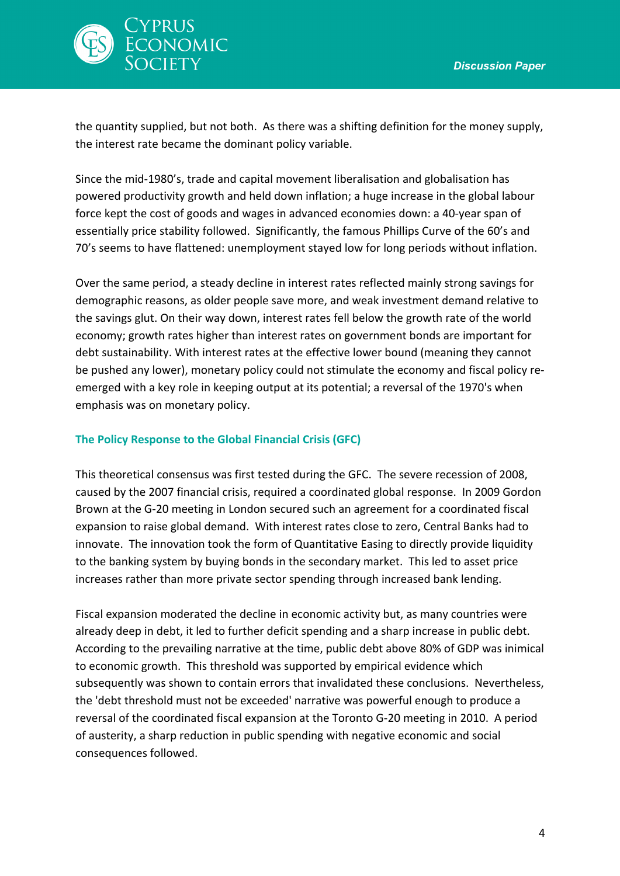

the quantity supplied, but not both. As there was a shifting definition for the money supply, the interest rate became the dominant policy variable.

Since the mid-1980's, trade and capital movement liberalisation and globalisation has powered productivity growth and held down inflation; a huge increase in the global labour force kept the cost of goods and wages in advanced economies down: a 40-year span of essentially price stability followed. Significantly, the famous Phillips Curve of the 60's and 70's seems to have flattened: unemployment stayed low for long periods without inflation.

Over the same period, a steady decline in interest rates reflected mainly strong savings for demographic reasons, as older people save more, and weak investment demand relative to the savings glut. On their way down, interest rates fell below the growth rate of the world economy; growth rates higher than interest rates on government bonds are important for debt sustainability. With interest rates at the effective lower bound (meaning they cannot be pushed any lower), monetary policy could not stimulate the economy and fiscal policy reemerged with a key role in keeping output at its potential; a reversal of the 1970's when emphasis was on monetary policy.

#### **The Policy Response to the Global Financial Crisis (GFC)**

This theoretical consensus was first tested during the GFC. The severe recession of 2008, caused by the 2007 financial crisis, required a coordinated global response. In 2009 Gordon Brown at the G-20 meeting in London secured such an agreement for a coordinated fiscal expansion to raise global demand. With interest rates close to zero, Central Banks had to innovate. The innovation took the form of Quantitative Easing to directly provide liquidity to the banking system by buying bonds in the secondary market. This led to asset price increases rather than more private sector spending through increased bank lending.

Fiscal expansion moderated the decline in economic activity but, as many countries were already deep in debt, it led to further deficit spending and a sharp increase in public debt. According to the prevailing narrative at the time, public debt above 80% of GDP was inimical to economic growth. This threshold was supported by empirical evidence which subsequently was shown to contain errors that invalidated these conclusions. Nevertheless, the 'debt threshold must not be exceeded' narrative was powerful enough to produce a reversal of the coordinated fiscal expansion at the Toronto G-20 meeting in 2010. A period of austerity, a sharp reduction in public spending with negative economic and social consequences followed.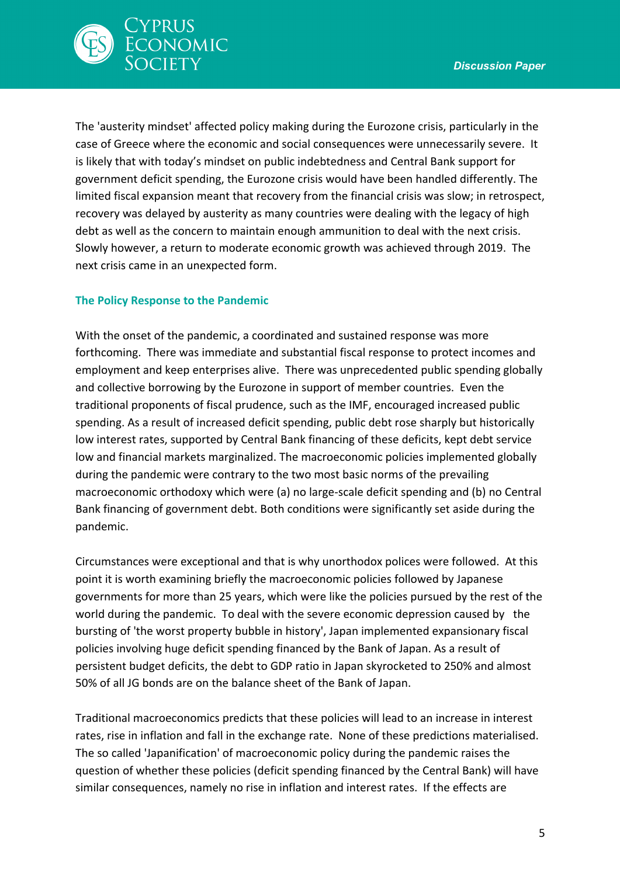

The 'austerity mindset' affected policy making during the Eurozone crisis, particularly in the case of Greece where the economic and social consequences were unnecessarily severe. It is likely that with today's mindset on public indebtedness and Central Bank support for government deficit spending, the Eurozone crisis would have been handled differently. The limited fiscal expansion meant that recovery from the financial crisis was slow; in retrospect, recovery was delayed by austerity as many countries were dealing with the legacy of high debt as well as the concern to maintain enough ammunition to deal with the next crisis. Slowly however, a return to moderate economic growth was achieved through 2019. The next crisis came in an unexpected form.

# **The Policy Response to the Pandemic**

With the onset of the pandemic, a coordinated and sustained response was more forthcoming. There was immediate and substantial fiscal response to protect incomes and employment and keep enterprises alive. There was unprecedented public spending globally and collective borrowing by the Eurozone in support of member countries. Even the traditional proponents of fiscal prudence, such as the IMF, encouraged increased public spending. As a result of increased deficit spending, public debt rose sharply but historically low interest rates, supported by Central Bank financing of these deficits, kept debt service low and financial markets marginalized. The macroeconomic policies implemented globally during the pandemic were contrary to the two most basic norms of the prevailing macroeconomic orthodoxy which were (a) no large-scale deficit spending and (b) no Central Bank financing of government debt. Both conditions were significantly set aside during the pandemic.

Circumstances were exceptional and that is why unorthodox polices were followed. At this point it is worth examining briefly the macroeconomic policies followed by Japanese governments for more than 25 years, which were like the policies pursued by the rest of the world during the pandemic. To deal with the severe economic depression caused by the bursting of 'the worst property bubble in history', Japan implemented expansionary fiscal policies involving huge deficit spending financed by the Bank of Japan. As a result of persistent budget deficits, the debt to GDP ratio in Japan skyrocketed to 250% and almost 50% of all JG bonds are on the balance sheet of the Bank of Japan.

Traditional macroeconomics predicts that these policies will lead to an increase in interest rates, rise in inflation and fall in the exchange rate. None of these predictions materialised. The so called 'Japanification' of macroeconomic policy during the pandemic raises the question of whether these policies (deficit spending financed by the Central Bank) will have similar consequences, namely no rise in inflation and interest rates. If the effects are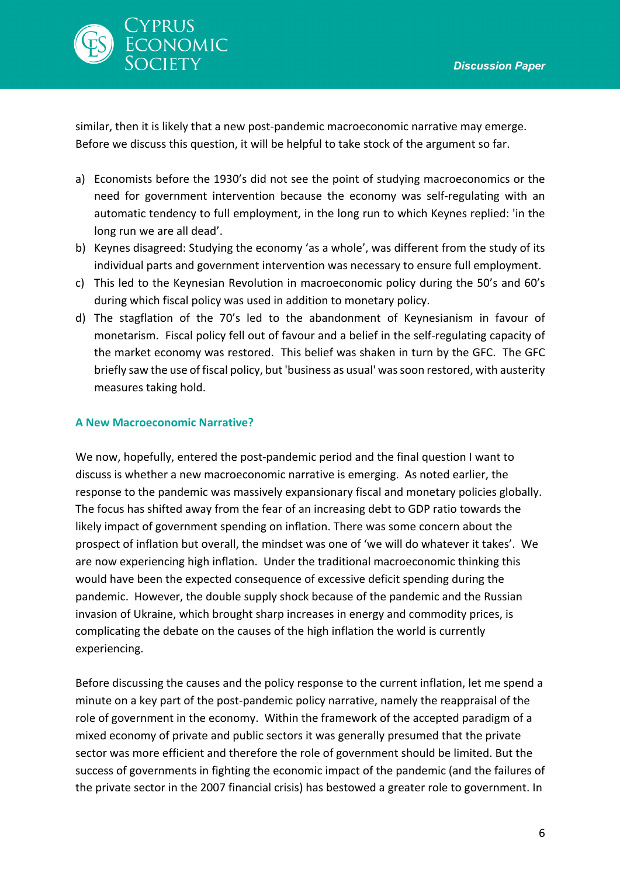

similar, then it is likely that a new post-pandemic macroeconomic narrative may emerge. Before we discuss this question, it will be helpful to take stock of the argument so far.

- a) Economists before the 1930's did not see the point of studying macroeconomics or the need for government intervention because the economy was self-regulating with an automatic tendency to full employment, in the long run to which Keynes replied: 'in the long run we are all dead'.
- b) Keynes disagreed: Studying the economy 'as a whole', was different from the study of its individual parts and government intervention was necessary to ensure full employment.
- c) This led to the Keynesian Revolution in macroeconomic policy during the 50's and 60's during which fiscal policy was used in addition to monetary policy.
- d) The stagflation of the 70's led to the abandonment of Keynesianism in favour of monetarism. Fiscal policy fell out of favour and a belief in the self-regulating capacity of the market economy was restored. This belief was shaken in turn by the GFC. The GFC briefly saw the use of fiscal policy, but 'business as usual' was soon restored, with austerity measures taking hold.

#### **A New Macroeconomic Narrative?**

We now, hopefully, entered the post-pandemic period and the final question I want to discuss is whether a new macroeconomic narrative is emerging. As noted earlier, the response to the pandemic was massively expansionary fiscal and monetary policies globally. The focus has shifted away from the fear of an increasing debt to GDP ratio towards the likely impact of government spending on inflation. There was some concern about the prospect of inflation but overall, the mindset was one of 'we will do whatever it takes'. We are now experiencing high inflation. Under the traditional macroeconomic thinking this would have been the expected consequence of excessive deficit spending during the pandemic. However, the double supply shock because of the pandemic and the Russian invasion of Ukraine, which brought sharp increases in energy and commodity prices, is complicating the debate on the causes of the high inflation the world is currently experiencing.

Before discussing the causes and the policy response to the current inflation, let me spend a minute on a key part of the post-pandemic policy narrative, namely the reappraisal of the role of government in the economy. Within the framework of the accepted paradigm of a mixed economy of private and public sectors it was generally presumed that the private sector was more efficient and therefore the role of government should be limited. But the success of governments in fighting the economic impact of the pandemic (and the failures of the private sector in the 2007 financial crisis) has bestowed a greater role to government. In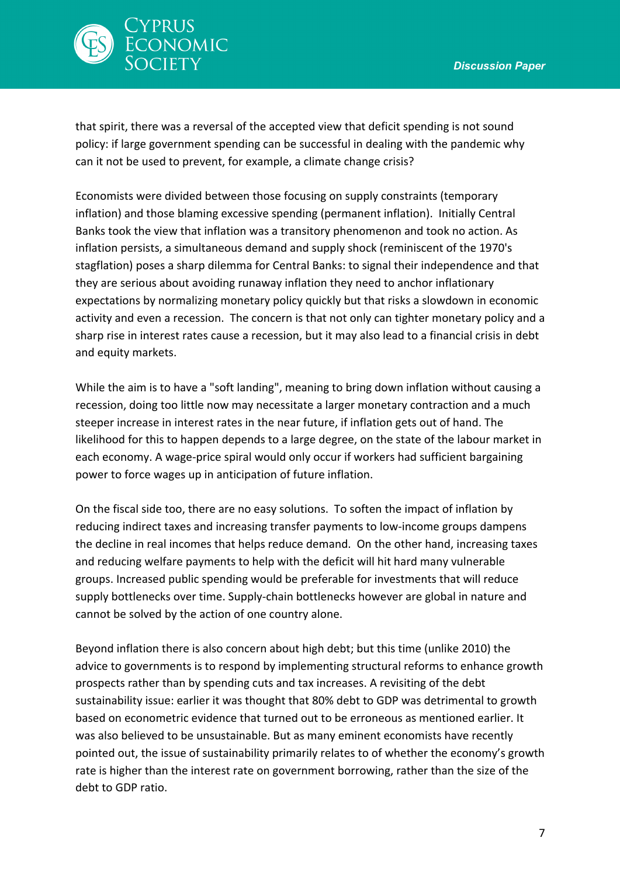

that spirit, there was a reversal of the accepted view that deficit spending is not sound policy: if large government spending can be successful in dealing with the pandemic why can it not be used to prevent, for example, a climate change crisis?

Economists were divided between those focusing on supply constraints (temporary inflation) and those blaming excessive spending (permanent inflation). Initially Central Banks took the view that inflation was a transitory phenomenon and took no action. As inflation persists, a simultaneous demand and supply shock (reminiscent of the 1970's stagflation) poses a sharp dilemma for Central Banks: to signal their independence and that they are serious about avoiding runaway inflation they need to anchor inflationary expectations by normalizing monetary policy quickly but that risks a slowdown in economic activity and even a recession. The concern is that not only can tighter monetary policy and a sharp rise in interest rates cause a recession, but it may also lead to a financial crisis in debt and equity markets.

While the aim is to have a "soft landing", meaning to bring down inflation without causing a recession, doing too little now may necessitate a larger monetary contraction and a much steeper increase in interest rates in the near future, if inflation gets out of hand. The likelihood for this to happen depends to a large degree, on the state of the labour market in each economy. A wage-price spiral would only occur if workers had sufficient bargaining power to force wages up in anticipation of future inflation.

On the fiscal side too, there are no easy solutions. To soften the impact of inflation by reducing indirect taxes and increasing transfer payments to low-income groups dampens the decline in real incomes that helps reduce demand. On the other hand, increasing taxes and reducing welfare payments to help with the deficit will hit hard many vulnerable groups. Increased public spending would be preferable for investments that will reduce supply bottlenecks over time. Supply-chain bottlenecks however are global in nature and cannot be solved by the action of one country alone.

Beyond inflation there is also concern about high debt; but this time (unlike 2010) the advice to governments is to respond by implementing structural reforms to enhance growth prospects rather than by spending cuts and tax increases. A revisiting of the debt sustainability issue: earlier it was thought that 80% debt to GDP was detrimental to growth based on econometric evidence that turned out to be erroneous as mentioned earlier. It was also believed to be unsustainable. But as many eminent economists have recently pointed out, the issue of sustainability primarily relates to of whether the economy's growth rate is higher than the interest rate on government borrowing, rather than the size of the debt to GDP ratio.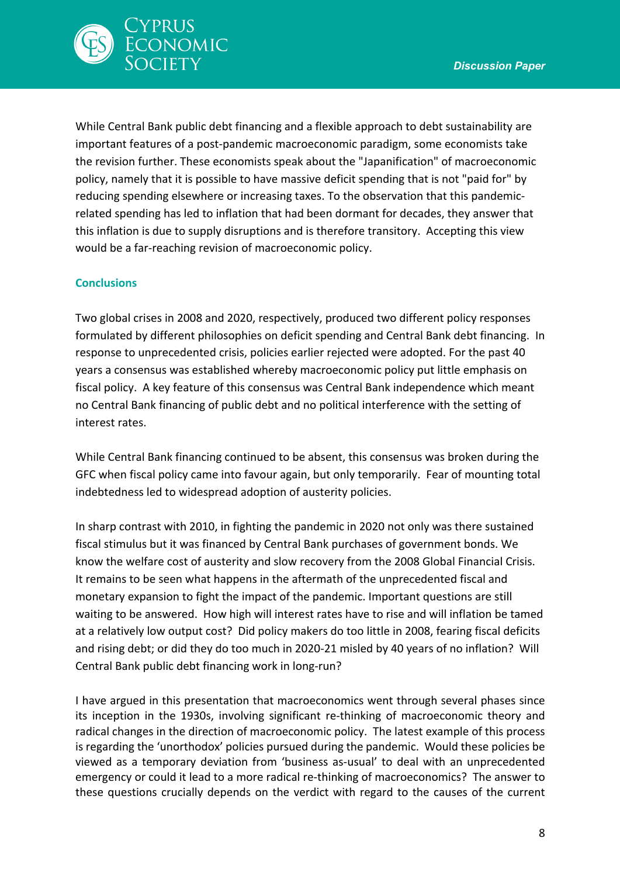

While Central Bank public debt financing and a flexible approach to debt sustainability are important features of a post-pandemic macroeconomic paradigm, some economists take the revision further. These economists speak about the "Japanification" of macroeconomic policy, namely that it is possible to have massive deficit spending that is not "paid for" by reducing spending elsewhere or increasing taxes. To the observation that this pandemicrelated spending has led to inflation that had been dormant for decades, they answer that this inflation is due to supply disruptions and is therefore transitory. Accepting this view would be a far-reaching revision of macroeconomic policy.

# **Conclusions**

Two global crises in 2008 and 2020, respectively, produced two different policy responses formulated by different philosophies on deficit spending and Central Bank debt financing. In response to unprecedented crisis, policies earlier rejected were adopted. For the past 40 years a consensus was established whereby macroeconomic policy put little emphasis on fiscal policy. A key feature of this consensus was Central Bank independence which meant no Central Bank financing of public debt and no political interference with the setting of interest rates.

While Central Bank financing continued to be absent, this consensus was broken during the GFC when fiscal policy came into favour again, but only temporarily. Fear of mounting total indebtedness led to widespread adoption of austerity policies.

In sharp contrast with 2010, in fighting the pandemic in 2020 not only was there sustained fiscal stimulus but it was financed by Central Bank purchases of government bonds. We know the welfare cost of austerity and slow recovery from the 2008 Global Financial Crisis. It remains to be seen what happens in the aftermath of the unprecedented fiscal and monetary expansion to fight the impact of the pandemic. Important questions are still waiting to be answered. How high will interest rates have to rise and will inflation be tamed at a relatively low output cost? Did policy makers do too little in 2008, fearing fiscal deficits and rising debt; or did they do too much in 2020-21 misled by 40 years of no inflation? Will Central Bank public debt financing work in long-run?

I have argued in this presentation that macroeconomics went through several phases since its inception in the 1930s, involving significant re-thinking of macroeconomic theory and radical changes in the direction of macroeconomic policy. The latest example of this process is regarding the 'unorthodox' policies pursued during the pandemic. Would these policies be viewed as a temporary deviation from 'business as-usual' to deal with an unprecedented emergency or could it lead to a more radical re-thinking of macroeconomics? The answer to these questions crucially depends on the verdict with regard to the causes of the current